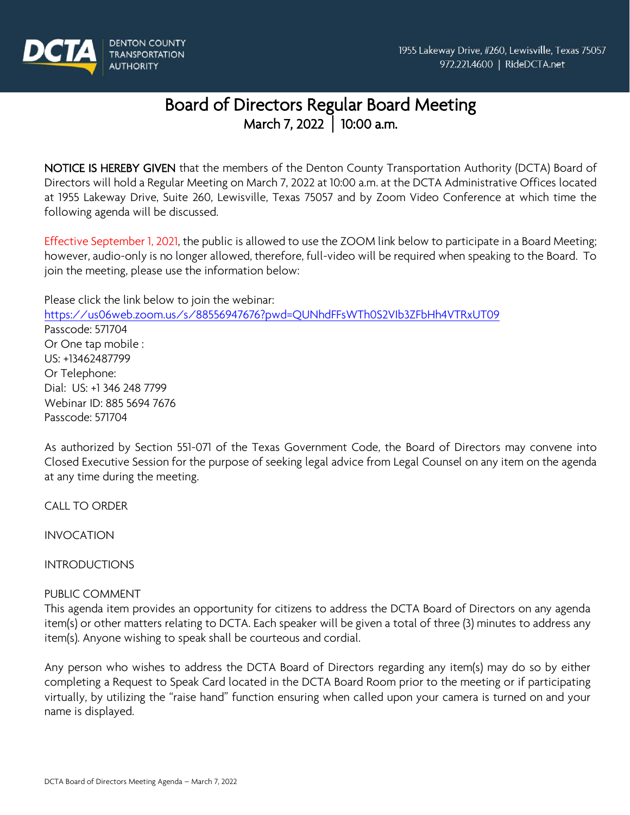

# Board of Directors Regular Board Meeting March 7, 2022 **│** 10:00 a.m.

NOTICE IS HEREBY GIVEN that the members of the Denton County Transportation Authority (DCTA) Board of Directors will hold a Regular Meeting on March 7, 2022 at 10:00 a.m. at the DCTA Administrative Offices located at 1955 Lakeway Drive, Suite 260, Lewisville, Texas 75057 and by Zoom Video Conference at which time the following agenda will be discussed.

Effective September 1, 2021, the public is allowed to use the ZOOM link below to participate in a Board Meeting; however, audio-only is no longer allowed, therefore, full-video will be required when speaking to the Board. To join the meeting, please use the information below:

Please click the link below to join the webinar:

<https://us06web.zoom.us/s/88556947676?pwd=QUNhdFFsWTh0S2VIb3ZFbHh4VTRxUT09> Passcode: 571704 Or One tap mobile : US: +13462487799 Or Telephone: Dial: US: +1 346 248 7799 Webinar ID: 885 5694 7676 Passcode: 571704

As authorized by Section 551-071 of the Texas Government Code, the Board of Directors may convene into Closed Executive Session for the purpose of seeking legal advice from Legal Counsel on any item on the agenda at any time during the meeting.

CALL TO ORDER

INVOCATION

INTRODUCTIONS

## PUBLIC COMMENT

This agenda item provides an opportunity for citizens to address the DCTA Board of Directors on any agenda item(s) or other matters relating to DCTA. Each speaker will be given a total of three (3) minutes to address any item(s). Anyone wishing to speak shall be courteous and cordial.

Any person who wishes to address the DCTA Board of Directors regarding any item(s) may do so by either completing a Request to Speak Card located in the DCTA Board Room prior to the meeting or if participating virtually, by utilizing the "raise hand" function ensuring when called upon your camera is turned on and your name is displayed.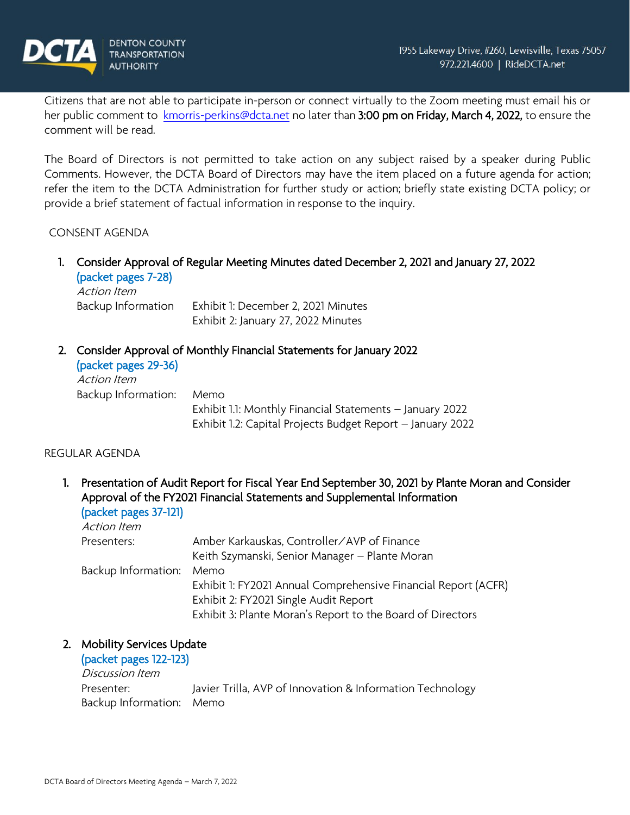

Citizens that are not able to participate in-person or connect virtually to the Zoom meeting must email his or her public comment to [kmorris-perkins@dcta.net](mailto:kmorris-perkins@dcta.net) no later than 3:00 pm on Friday, March 4, 2022, to ensure the comment will be read.

The Board of Directors is not permitted to take action on any subject raised by a speaker during Public Comments. However, the DCTA Board of Directors may have the item placed on a future agenda for action; refer the item to the DCTA Administration for further study or action; briefly state existing DCTA policy; or provide a brief statement of factual information in response to the inquiry.

#### CONSENT AGENDA

1. Consider Approval of Regular Meeting Minutes dated December 2, 2021 and January 27, 2022 (packet pages 7-28)

Action Item Backup Information Exhibit 1: December 2, 2021 Minutes Exhibit 2: January 27, 2022 Minutes

2. Consider Approval of Monthly Financial Statements for January 2022

| (packet pages 29-36)<br>Action Item |                                                            |
|-------------------------------------|------------------------------------------------------------|
| Backup Information:                 | Memo                                                       |
|                                     | Exhibit 1.1: Monthly Financial Statements - January 2022   |
|                                     | Exhibit 1.2: Capital Projects Budget Report - January 2022 |

## REGULAR AGENDA

1. Presentation of Audit Report for Fiscal Year End September 30, 2021 by Plante Moran and Consider Approval of the FY2021 Financial Statements and Supplemental Information (packet pages 37-121)

| $\mathbf{r}$        |                                                                |
|---------------------|----------------------------------------------------------------|
| Action Item         |                                                                |
| Presenters:         | Amber Karkauskas, Controller/AVP of Finance                    |
|                     | Keith Szymanski, Senior Manager – Plante Moran                 |
| Backup Information: | Memo                                                           |
|                     | Exhibit 1: FY2021 Annual Comprehensive Financial Report (ACFR) |
|                     | Exhibit 2: FY2021 Single Audit Report                          |
|                     | Exhibit 3: Plante Moran's Report to the Board of Directors     |
|                     |                                                                |

#### 2. Mobility Services Update

(packet pages 122-123) Discussion Item Presenter: Javier Trilla, AVP of Innovation & Information Technology Backup Information: Memo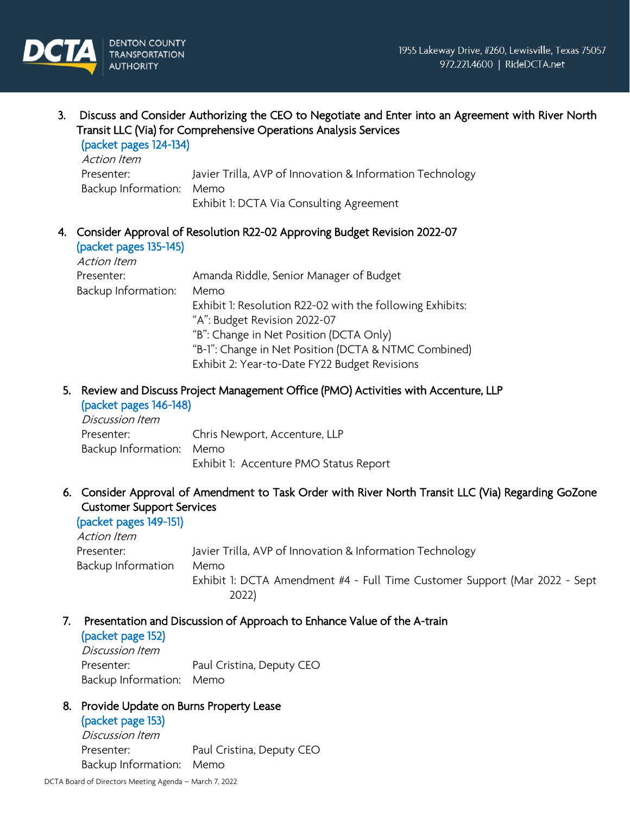3. Discuss and Consider Authorizing the CEO to Negotiate and Enter into an Agreement with River North Transit LLC (Via) for Comprehensive Operations Analysis Services (packet pages 124-134)

| <b>IPULALE PUGLY IZT IVTI</b><br>Action Item |                                                           |
|----------------------------------------------|-----------------------------------------------------------|
| Presenter:                                   | Javier Trilla, AVP of Innovation & Information Technology |
| Backup Information: Memo                     |                                                           |
|                                              | Exhibit 1: DCTA Via Consulting Agreement                  |

#### 4. Consider Approval of Resolution R22-02 Approving Budget Revision 2022-07 (packet pages 135-145)

| Action Item         |                                                           |
|---------------------|-----------------------------------------------------------|
| Presenter:          | Amanda Riddle, Senior Manager of Budget                   |
| Backup Information: | Memo                                                      |
|                     | Exhibit 1: Resolution R22-02 with the following Exhibits: |
|                     | "A": Budget Revision 2022-07                              |
|                     | "B": Change in Net Position (DCTA Only)                   |
|                     | "B-1": Change in Net Position (DCTA & NTMC Combined)      |
|                     | Exhibit 2: Year-to-Date FY22 Budget Revisions             |

## 5. Review and Discuss Project Management Office (PMO) Activities with Accenture, LLP

## (packet pages 146-148)

Discussion Item Presenter: Chris Newport, Accenture, LLP Backup Information: Memo Exhibit 1: Accenture PMO Status Report

## 6. Consider Approval of Amendment to Task Order with River North Transit LLC (Via) Regarding GoZone Customer Support Services

(packet pages 149-151) Action Item Presenter: Javier Trilla, AVP of Innovation & Information Technology Backup Information Memo Exhibit 1: DCTA Amendment #4 - Full Time Customer Support (Mar 2022 - Sept 2022)

## 7. Presentation and Discussion of Approach to Enhance Value of the A-train

#### (packet page 152)

Discussion Item Presenter: Paul Cristina, Deputy CEO Backup Information: Memo

## 8. Provide Update on Burns Property Lease

#### (packet page 153)

Discussion Item Presenter: Paul Cristina, Deputy CEO Backup Information: Memo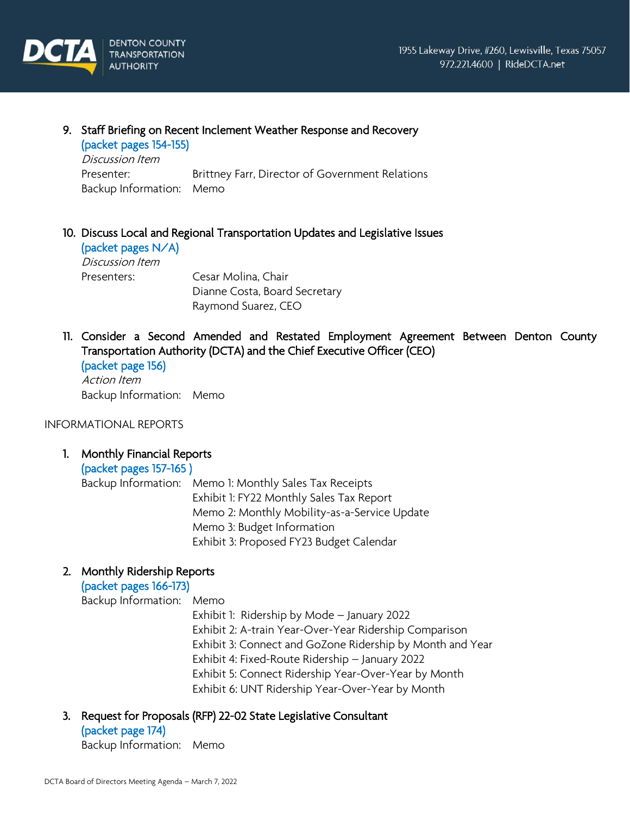

#### 9. Staff Briefing on Recent Inclement Weather Response and Recovery

(packet pages 154-155) Discussion Item Presenter: Brittney Farr, Director of Government Relations Backup Information: Memo

## 10. Discuss Local and Regional Transportation Updates and Legislative Issues

(packet pages N/A) Discussion Item Presenters: Cesar Molina, Chair

Dianne Costa, Board Secretary Raymond Suarez, CEO

11. Consider a Second Amended and Restated Employment Agreement Between Denton County Transportation Authority (DCTA) and the Chief Executive Officer (CEO) (packet page 156)

Action Item Backup Information: Memo

INFORMATIONAL REPORTS

## 1. Monthly Financial Reports

(packet pages 157-165 )

Backup Information: Memo 1: Monthly Sales Tax Receipts Exhibit 1: FY22 Monthly Sales Tax Report Memo 2: Monthly Mobility-as-a-Service Update Memo 3: Budget Information Exhibit 3: Proposed FY23 Budget Calendar

## 2. Monthly Ridership Reports

(packet pages 166-173)

Backup Information: Memo

Exhibit 1: Ridership by Mode – January 2022 Exhibit 2: A-train Year-Over-Year Ridership Comparison Exhibit 3: Connect and GoZone Ridership by Month and Year Exhibit 4: Fixed-Route Ridership – January 2022 Exhibit 5: Connect Ridership Year-Over-Year by Month Exhibit 6: UNT Ridership Year-Over-Year by Month

3. Request for Proposals (RFP) 22-02 State Legislative Consultant

(packet page 174) Backup Information: Memo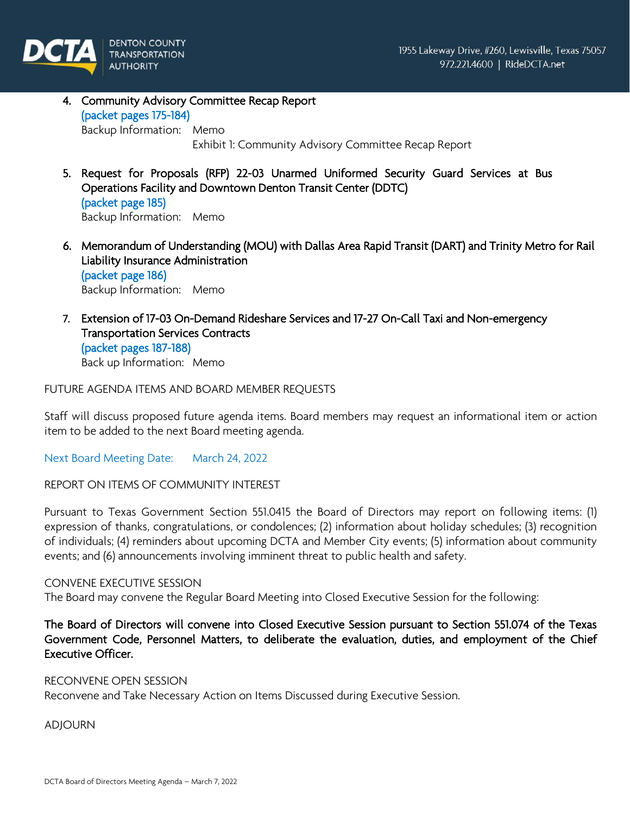

- 4. Community Advisory Committee Recap Report (packet pages 175-184) Backup Information: Memo Exhibit 1: Community Advisory Committee Recap Report
- 5. Request for Proposals (RFP) 22-03 Unarmed Uniformed Security Guard Services at Bus Operations Facility and Downtown Denton Transit Center (DDTC) (packet page 185) Backup Information: Memo
- 6. Memorandum of Understanding (MOU) with Dallas Area Rapid Transit (DART) and Trinity Metro for Rail Liability Insurance Administration (packet page 186) Backup Information: Memo
- 7. Extension of 17-03 On-Demand Rideshare Services and 17-27 On-Call Taxi and Non-emergency Transportation Services Contracts (packet pages 187-188) Back up Information: Memo

FUTURE AGENDA ITEMS AND BOARD MEMBER REQUESTS

Staff will discuss proposed future agenda items. Board members may request an informational item or action item to be added to the next Board meeting agenda.

Next Board Meeting Date: March 24, 2022

REPORT ON ITEMS OF COMMUNITY INTEREST

Pursuant to Texas Government Section 551.0415 the Board of Directors may report on following items: (1) expression of thanks, congratulations, or condolences; (2) information about holiday schedules; (3) recognition of individuals; (4) reminders about upcoming DCTA and Member City events; (5) information about community events; and (6) announcements involving imminent threat to public health and safety.

#### CONVENE EXECUTIVE SESSION

The Board may convene the Regular Board Meeting into Closed Executive Session for the following:

The Board of Directors will convene into Closed Executive Session pursuant to Section 551.074 of the Texas Government Code, Personnel Matters, to deliberate the evaluation, duties, and employment of the Chief Executive Officer.

#### RECONVENE OPEN SESSION

Reconvene and Take Necessary Action on Items Discussed during Executive Session.

ADJOURN